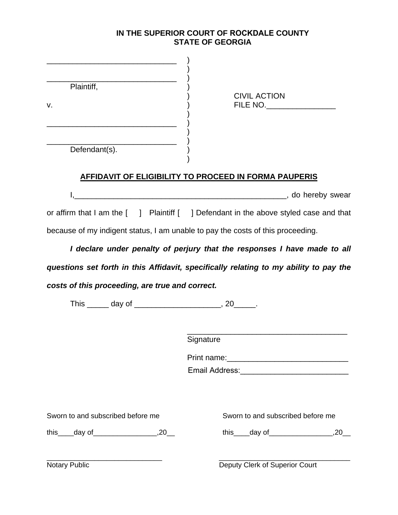### **IN THE SUPERIOR COURT OF ROCKDALE COUNTY STATE OF GEORGIA**

| <u> 1980 - Johann Barbara, martin da basar da basar da basar da basar da basar da basar da basar da basar da basa</u><br>Plaintiff,<br>v.<br><u> 1989 - Johann John Stone, mars et al. 1989 - John Stone, mars et al. 1989 - John Stone, mars et al. 1989 - John Stone</u> | <b>CIVIL ACTION</b><br>FILE NO.                                                       |
|----------------------------------------------------------------------------------------------------------------------------------------------------------------------------------------------------------------------------------------------------------------------------|---------------------------------------------------------------------------------------|
|                                                                                                                                                                                                                                                                            | <b>AFFIDAVIT OF ELIGIBILITY TO PROCEED IN FORMA PAUPERIS</b>                          |
|                                                                                                                                                                                                                                                                            |                                                                                       |
|                                                                                                                                                                                                                                                                            | or affirm that I am the [ ] Plaintiff [ ] Defendant in the above styled case and that |
|                                                                                                                                                                                                                                                                            | because of my indigent status, I am unable to pay the costs of this proceeding.       |
|                                                                                                                                                                                                                                                                            | I declare under penalty of perjury that the responses I have made to all              |
|                                                                                                                                                                                                                                                                            | questions set forth in this Affidavit, specifically relating to my ability to pay the |
| costs of this proceeding, are true and correct.                                                                                                                                                                                                                            |                                                                                       |
| This ______ day of ___________________________, 20_______.                                                                                                                                                                                                                 |                                                                                       |
|                                                                                                                                                                                                                                                                            | Signature                                                                             |
|                                                                                                                                                                                                                                                                            |                                                                                       |
|                                                                                                                                                                                                                                                                            |                                                                                       |
|                                                                                                                                                                                                                                                                            |                                                                                       |
| Sworn to and subscribed before me                                                                                                                                                                                                                                          | Sworn to and subscribed before me                                                     |
|                                                                                                                                                                                                                                                                            |                                                                                       |
| Notary Public                                                                                                                                                                                                                                                              | Deputy Clerk of Superior Court                                                        |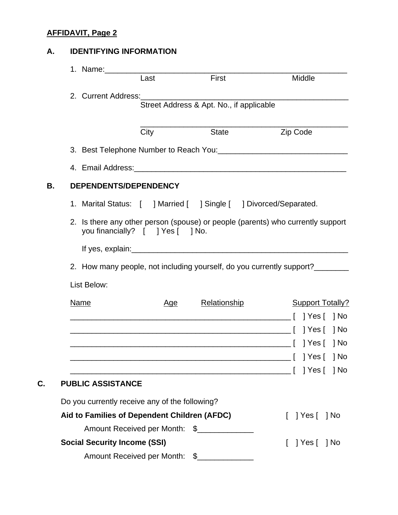## **A. IDENTIFYING INFORMATION**

|                                     | 1. Name: The contract of the contract of the contract of the contract of the contract of the contract of the contract of the contract of the contract of the contract of the contract of the contract of the contract of the c |                                          |                                                                                 |
|-------------------------------------|--------------------------------------------------------------------------------------------------------------------------------------------------------------------------------------------------------------------------------|------------------------------------------|---------------------------------------------------------------------------------|
|                                     | Last                                                                                                                                                                                                                           | First                                    | Middle                                                                          |
|                                     |                                                                                                                                                                                                                                |                                          |                                                                                 |
|                                     |                                                                                                                                                                                                                                | Street Address & Apt. No., if applicable |                                                                                 |
|                                     | City                                                                                                                                                                                                                           | <b>State</b>                             | Zip Code                                                                        |
|                                     |                                                                                                                                                                                                                                |                                          |                                                                                 |
|                                     |                                                                                                                                                                                                                                |                                          |                                                                                 |
|                                     | DEPENDENTS/DEPENDENCY                                                                                                                                                                                                          |                                          |                                                                                 |
|                                     | 1. Marital Status: [ ] Married [ ] Single [ ] Divorced/Separated.                                                                                                                                                              |                                          |                                                                                 |
|                                     | you financially? [ ] Yes [ ] No.                                                                                                                                                                                               |                                          | 2. Is there any other person (spouse) or people (parents) who currently support |
|                                     |                                                                                                                                                                                                                                |                                          |                                                                                 |
|                                     |                                                                                                                                                                                                                                |                                          | 2. How many people, not including yourself, do you currently support?           |
| List Below:                         |                                                                                                                                                                                                                                |                                          |                                                                                 |
| <b>Name</b>                         | <u>Age</u>                                                                                                                                                                                                                     | <b>Relationship</b>                      | <b>Support Totally?</b>                                                         |
|                                     |                                                                                                                                                                                                                                |                                          |                                                                                 |
|                                     |                                                                                                                                                                                                                                |                                          | 1 No                                                                            |
|                                     |                                                                                                                                                                                                                                |                                          |                                                                                 |
|                                     |                                                                                                                                                                                                                                |                                          | _____[ ]Yes[ ]No                                                                |
|                                     |                                                                                                                                                                                                                                |                                          | 1 No                                                                            |
| <b>PUBLIC ASSISTANCE</b>            |                                                                                                                                                                                                                                |                                          |                                                                                 |
|                                     | Do you currently receive any of the following?                                                                                                                                                                                 |                                          |                                                                                 |
|                                     | Aid to Families of Dependent Children (AFDC)                                                                                                                                                                                   |                                          | ] Yes [ ] No                                                                    |
|                                     | Amount Received per Month:                                                                                                                                                                                                     | $\frac{1}{2}$                            |                                                                                 |
| <b>Social Security Income (SSI)</b> |                                                                                                                                                                                                                                |                                          | ] Yes [ ] No                                                                    |
|                                     | Amount Received per Month:                                                                                                                                                                                                     | $\mathcal{L}$                            |                                                                                 |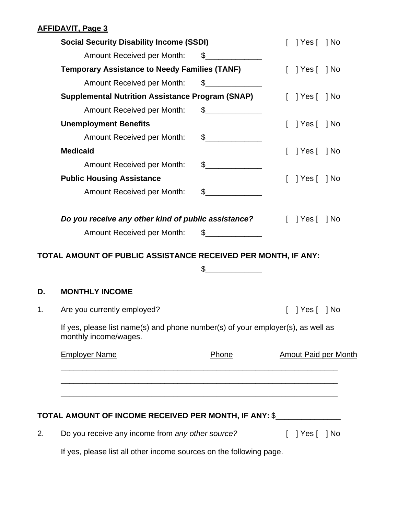|    | <b>Social Security Disability Income (SSDI)</b>                                                          | ] Yes [ ] No                                                                                                                                                                                                                                                                                                                                                                                                         |                              |
|----|----------------------------------------------------------------------------------------------------------|----------------------------------------------------------------------------------------------------------------------------------------------------------------------------------------------------------------------------------------------------------------------------------------------------------------------------------------------------------------------------------------------------------------------|------------------------------|
|    | Amount Received per Month:                                                                               | $\frac{1}{\sqrt{1-\frac{1}{2}}\sqrt{1-\frac{1}{2}}\sqrt{1-\frac{1}{2}}\sqrt{1-\frac{1}{2}}\sqrt{1-\frac{1}{2}}\sqrt{1-\frac{1}{2}}\sqrt{1-\frac{1}{2}}\sqrt{1-\frac{1}{2}}\sqrt{1-\frac{1}{2}}\sqrt{1-\frac{1}{2}}\sqrt{1-\frac{1}{2}}\sqrt{1-\frac{1}{2}}\sqrt{1-\frac{1}{2}}\sqrt{1-\frac{1}{2}}\sqrt{1-\frac{1}{2}}\sqrt{1-\frac{1}{2}}\sqrt{1-\frac{1}{2}}\sqrt{1-\frac{1}{2}}\sqrt{1-\frac{1}{2}}\sqrt{1-\frac$ |                              |
|    | <b>Temporary Assistance to Needy Families (TANF)</b>                                                     |                                                                                                                                                                                                                                                                                                                                                                                                                      | $[$ ] Yes $[$ ] No           |
|    | Amount Received per Month:                                                                               | $\frac{1}{2}$                                                                                                                                                                                                                                                                                                                                                                                                        |                              |
|    | <b>Supplemental Nutrition Assistance Program (SNAP)</b>                                                  |                                                                                                                                                                                                                                                                                                                                                                                                                      | $[$ $]$ Yes $[$ $]$ No       |
|    | Amount Received per Month:                                                                               | $\frac{1}{\sqrt{2}}$                                                                                                                                                                                                                                                                                                                                                                                                 |                              |
|    | <b>Unemployment Benefits</b>                                                                             |                                                                                                                                                                                                                                                                                                                                                                                                                      | ] Yes [ ] No                 |
|    | Amount Received per Month:                                                                               | $\frac{1}{2}$                                                                                                                                                                                                                                                                                                                                                                                                        |                              |
|    | <b>Medicaid</b>                                                                                          |                                                                                                                                                                                                                                                                                                                                                                                                                      | ] Yes [ ] No                 |
|    | Amount Received per Month:                                                                               | $\sim$                                                                                                                                                                                                                                                                                                                                                                                                               |                              |
|    | <b>Public Housing Assistance</b>                                                                         |                                                                                                                                                                                                                                                                                                                                                                                                                      | Yes [   No                   |
|    | Amount Received per Month:                                                                               | $\sim$                                                                                                                                                                                                                                                                                                                                                                                                               |                              |
|    | Do you receive any other kind of public assistance?                                                      |                                                                                                                                                                                                                                                                                                                                                                                                                      | $\lceil$   Yes $\lceil$   No |
|    | Amount Received per Month: \$_____________                                                               |                                                                                                                                                                                                                                                                                                                                                                                                                      |                              |
|    | TOTAL AMOUNT OF PUBLIC ASSISTANCE RECEIVED PER MONTH, IF ANY:                                            |                                                                                                                                                                                                                                                                                                                                                                                                                      |                              |
|    |                                                                                                          | \$                                                                                                                                                                                                                                                                                                                                                                                                                   |                              |
| D. | <b>MONTHLY INCOME</b>                                                                                    |                                                                                                                                                                                                                                                                                                                                                                                                                      |                              |
| 1. | Are you currently employed?                                                                              |                                                                                                                                                                                                                                                                                                                                                                                                                      | [ ] Yes [ ] No               |
|    | If yes, please list name(s) and phone number(s) of your employer(s), as well as<br>monthly income/wages. |                                                                                                                                                                                                                                                                                                                                                                                                                      |                              |
|    | <b>Employer Name</b>                                                                                     | Phone                                                                                                                                                                                                                                                                                                                                                                                                                | <b>Amout Paid per Month</b>  |
|    |                                                                                                          |                                                                                                                                                                                                                                                                                                                                                                                                                      |                              |
|    |                                                                                                          |                                                                                                                                                                                                                                                                                                                                                                                                                      |                              |
|    | TOTAL AMOUNT OF INCOME RECEIVED PER MONTH, IF ANY: \$_______________                                     |                                                                                                                                                                                                                                                                                                                                                                                                                      |                              |
| 2. | Do you receive any income from any other source?                                                         |                                                                                                                                                                                                                                                                                                                                                                                                                      | $[$ ] Yes $[$ ] No           |

If yes, please list all other income sources on the following page.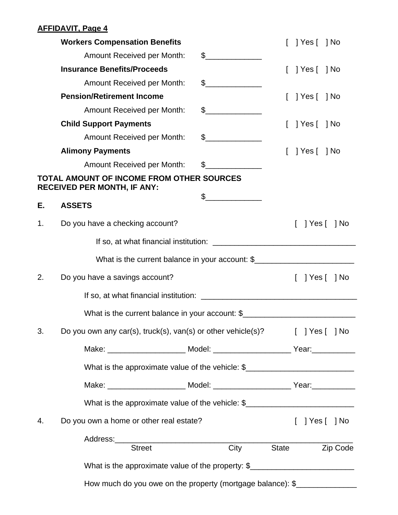|    | <b>Workers Compensation Benefits</b>                                              |                                                                                                                                                                                                                                                                                                                                                                                                                                 |       | Yes [   No                   |          |
|----|-----------------------------------------------------------------------------------|---------------------------------------------------------------------------------------------------------------------------------------------------------------------------------------------------------------------------------------------------------------------------------------------------------------------------------------------------------------------------------------------------------------------------------|-------|------------------------------|----------|
|    | Amount Received per Month:                                                        | $\frac{1}{2}$                                                                                                                                                                                                                                                                                                                                                                                                                   |       |                              |          |
|    | <b>Insurance Benefits/Proceeds</b>                                                |                                                                                                                                                                                                                                                                                                                                                                                                                                 |       | $\lceil$   Yes $\lceil$   No |          |
|    | Amount Received per Month:                                                        | $\frac{1}{\sqrt{1-\frac{1}{2}}}\frac{1}{\sqrt{1-\frac{1}{2}}}\frac{1}{\sqrt{1-\frac{1}{2}}}\frac{1}{\sqrt{1-\frac{1}{2}}}\frac{1}{\sqrt{1-\frac{1}{2}}}\frac{1}{\sqrt{1-\frac{1}{2}}}\frac{1}{\sqrt{1-\frac{1}{2}}}\frac{1}{\sqrt{1-\frac{1}{2}}}\frac{1}{\sqrt{1-\frac{1}{2}}}\frac{1}{\sqrt{1-\frac{1}{2}}}\frac{1}{\sqrt{1-\frac{1}{2}}}\frac{1}{\sqrt{1-\frac{1}{2}}}\frac{1}{\sqrt{1-\frac{1}{2}}}\frac{1}{\sqrt{1-\frac{$ |       |                              |          |
|    | <b>Pension/Retirement Income</b>                                                  |                                                                                                                                                                                                                                                                                                                                                                                                                                 |       | $[$ $]$ Yes $[$ $]$ No       |          |
|    | <b>Amount Received per Month:</b>                                                 | $\sim$                                                                                                                                                                                                                                                                                                                                                                                                                          |       |                              |          |
|    | <b>Child Support Payments</b>                                                     |                                                                                                                                                                                                                                                                                                                                                                                                                                 |       | [ ] Yes [ ] No               |          |
|    | Amount Received per Month:                                                        | $\begin{picture}(20,20) \put(0,0){\line(1,0){100}} \put(15,0){\line(1,0){100}} \put(15,0){\line(1,0){100}} \put(15,0){\line(1,0){100}} \put(15,0){\line(1,0){100}} \put(15,0){\line(1,0){100}} \put(15,0){\line(1,0){100}} \put(15,0){\line(1,0){100}} \put(15,0){\line(1,0){100}} \put(15,0){\line(1,0){100}} \put(15,0){\line(1,0){100}} \$                                                                                   |       |                              |          |
|    | <b>Alimony Payments</b>                                                           |                                                                                                                                                                                                                                                                                                                                                                                                                                 |       | Yes [   No                   |          |
|    | Amount Received per Month:                                                        | $\mathbb S$                                                                                                                                                                                                                                                                                                                                                                                                                     |       |                              |          |
|    | TOTAL AMOUNT OF INCOME FROM OTHER SOURCES<br><b>RECEIVED PER MONTH, IF ANY:</b>   |                                                                                                                                                                                                                                                                                                                                                                                                                                 |       |                              |          |
| Е. | <b>ASSETS</b>                                                                     | $\frac{1}{2}$                                                                                                                                                                                                                                                                                                                                                                                                                   |       |                              |          |
| 1. | Do you have a checking account?                                                   |                                                                                                                                                                                                                                                                                                                                                                                                                                 |       | Yes [   No                   |          |
|    |                                                                                   |                                                                                                                                                                                                                                                                                                                                                                                                                                 |       |                              |          |
|    | What is the current balance in your account: \$                                   |                                                                                                                                                                                                                                                                                                                                                                                                                                 |       |                              |          |
| 2. | Do you have a savings account?                                                    |                                                                                                                                                                                                                                                                                                                                                                                                                                 |       | Yes [   No                   |          |
|    |                                                                                   |                                                                                                                                                                                                                                                                                                                                                                                                                                 |       |                              |          |
|    | What is the current balance in your account: \$                                   |                                                                                                                                                                                                                                                                                                                                                                                                                                 |       |                              |          |
| 3. | Do you own any car(s), truck(s), van(s) or other vehicle(s)?                      |                                                                                                                                                                                                                                                                                                                                                                                                                                 |       | $[$ ] Yes $[$ ] No           |          |
|    |                                                                                   |                                                                                                                                                                                                                                                                                                                                                                                                                                 |       |                              |          |
|    | What is the approximate value of the vehicle: \$                                  |                                                                                                                                                                                                                                                                                                                                                                                                                                 |       |                              |          |
|    |                                                                                   |                                                                                                                                                                                                                                                                                                                                                                                                                                 |       |                              |          |
|    | What is the approximate value of the vehicle: $\frac{1}{2}$                       |                                                                                                                                                                                                                                                                                                                                                                                                                                 |       |                              |          |
| 4. | Do you own a home or other real estate?                                           |                                                                                                                                                                                                                                                                                                                                                                                                                                 |       | $[$ $]$ Yes $[$ $]$ No       |          |
|    | <b>Street</b>                                                                     | City                                                                                                                                                                                                                                                                                                                                                                                                                            | State |                              | Zip Code |
|    |                                                                                   |                                                                                                                                                                                                                                                                                                                                                                                                                                 |       |                              |          |
|    | What is the approximate value of the property: \$________________________________ |                                                                                                                                                                                                                                                                                                                                                                                                                                 |       |                              |          |
|    | How much do you owe on the property (mortgage balance): \$                        |                                                                                                                                                                                                                                                                                                                                                                                                                                 |       |                              |          |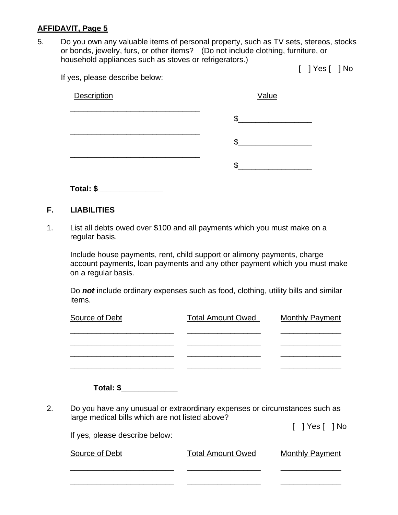5. Do you own any valuable items of personal property, such as TV sets, stereos, stocks or bonds, jewelry, furs, or other items? (Do not include clothing, furniture, or household appliances such as stoves or refrigerators.)

[ ] Yes [ ] No

If yes, please describe below:

| Description | Value   |
|-------------|---------|
|             | ጥ<br>ъĐ |
|             | Œ       |
|             |         |

**Total: \$\_\_\_\_\_\_\_\_\_\_\_\_\_\_\_** 

### **F. LIABILITIES**

1. List all debts owed over \$100 and all payments which you must make on a regular basis.

Include house payments, rent, child support or alimony payments, charge account payments, loan payments and any other payment which you must make on a regular basis.

Do *not* include ordinary expenses such as food, clothing, utility bills and similar items.

| Source of Debt | <b>Total Amount Owed</b> | <b>Monthly Payment</b> |
|----------------|--------------------------|------------------------|
|                |                          |                        |
|                |                          |                        |
|                |                          |                        |
|                |                          |                        |

**Total: \$\_\_\_\_\_\_\_\_\_\_\_\_\_** 

2. Do you have any unusual or extraordinary expenses or circumstances such as large medical bills which are not listed above?

\_\_\_\_\_\_\_\_\_\_\_\_\_\_\_\_\_\_\_\_\_\_\_\_ \_\_\_\_\_\_\_\_\_\_\_\_\_\_\_\_\_ \_\_\_\_\_\_\_\_\_\_\_\_\_\_

\_\_\_\_\_\_\_\_\_\_\_\_\_\_\_\_\_\_\_\_\_\_\_\_ \_\_\_\_\_\_\_\_\_\_\_\_\_\_\_\_\_ \_\_\_\_\_\_\_\_\_\_\_\_\_\_

[ ] Yes [ ] No

If yes, please describe below: Source of Debt Total Amount Owed Monthly Payment